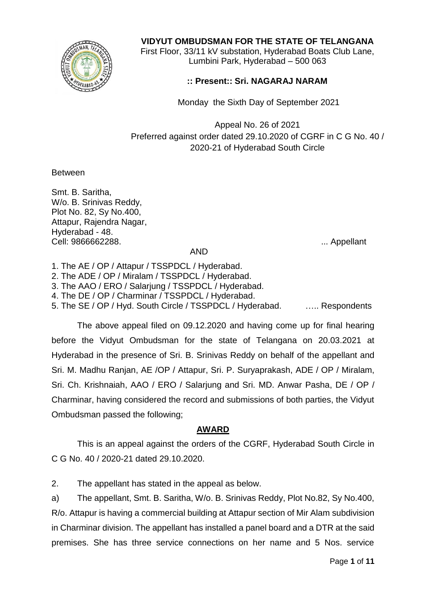

## **VIDYUT OMBUDSMAN FOR THE STATE OF TELANGANA**

First Floor, 33/11 kV substation, Hyderabad Boats Club Lane, Lumbini Park, Hyderabad – 500 063

## **:: Present:: Sri. NAGARAJ NARAM**

Monday the Sixth Day of September 2021

Appeal No. 26 of 2021 Preferred against order dated 29.10.2020 of CGRF in C G No. 40 / 2020-21 of Hyderabad South Circle

**Between** 

Smt. B. Saritha, W/o. B. Srinivas Reddy, Plot No. 82, Sy No.400, Attapur, Rajendra Nagar, Hyderabad - 48. Cell: 9866662288. ... Appellant

## AND

1. The AE / OP / Attapur / TSSPDCL / Hyderabad.

2. The ADE / OP / Miralam / TSSPDCL / Hyderabad.

3. The AAO / ERO / Salarjung / TSSPDCL / Hyderabad.

4. The DE / OP / Charminar / TSSPDCL / Hyderabad.

5. The SE / OP / Hyd. South Circle / TSSPDCL / Hyderabad. . ..... Respondents

The above appeal filed on 09.12.2020 and having come up for final hearing before the Vidyut Ombudsman for the state of Telangana on 20.03.2021 at Hyderabad in the presence of Sri. B. Srinivas Reddy on behalf of the appellant and Sri. M. Madhu Ranjan, AE /OP / Attapur, Sri. P. Suryaprakash, ADE / OP / Miralam, Sri. Ch. Krishnaiah, AAO / ERO / Salarjung and Sri. MD. Anwar Pasha, DE / OP / Charminar, having considered the record and submissions of both parties, the Vidyut Ombudsman passed the following;

## **AWARD**

This is an appeal against the orders of the CGRF, Hyderabad South Circle in C G No. 40 / 2020-21 dated 29.10.2020.

2. The appellant has stated in the appeal as below.

a) The appellant, Smt. B. Saritha, W/o. B. Srinivas Reddy, Plot No.82, Sy No.400, R/o. Attapur is having a commercial building at Attapur section of Mir Alam subdivision in Charminar division. The appellant has installed a panel board and a DTR at the said premises. She has three service connections on her name and 5 Nos. service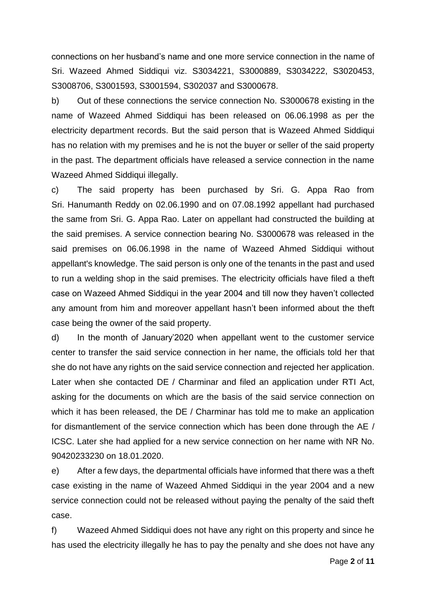connections on her husband's name and one more service connection in the name of Sri. Wazeed Ahmed Siddiqui viz. S3034221, S3000889, S3034222, S3020453, S3008706, S3001593, S3001594, S302037 and S3000678.

b) Out of these connections the service connection No. S3000678 existing in the name of Wazeed Ahmed Siddiqui has been released on 06.06.1998 as per the electricity department records. But the said person that is Wazeed Ahmed Siddiqui has no relation with my premises and he is not the buyer or seller of the said property in the past. The department officials have released a service connection in the name Wazeed Ahmed Siddiqui illegally.

c) The said property has been purchased by Sri. G. Appa Rao from Sri. Hanumanth Reddy on 02.06.1990 and on 07.08.1992 appellant had purchased the same from Sri. G. Appa Rao. Later on appellant had constructed the building at the said premises. A service connection bearing No. S3000678 was released in the said premises on 06.06.1998 in the name of Wazeed Ahmed Siddiqui without appellant's knowledge. The said person is only one of the tenants in the past and used to run a welding shop in the said premises. The electricity officials have filed a theft case on Wazeed Ahmed Siddiqui in the year 2004 and till now they haven't collected any amount from him and moreover appellant hasn't been informed about the theft case being the owner of the said property.

d) In the month of January'2020 when appellant went to the customer service center to transfer the said service connection in her name, the officials told her that she do not have any rights on the said service connection and rejected her application. Later when she contacted DE / Charminar and filed an application under RTI Act, asking for the documents on which are the basis of the said service connection on which it has been released, the DE / Charminar has told me to make an application for dismantlement of the service connection which has been done through the AE / ICSC. Later she had applied for a new service connection on her name with NR No. 90420233230 on 18.01.2020.

e) After a few days, the departmental officials have informed that there was a theft case existing in the name of Wazeed Ahmed Siddiqui in the year 2004 and a new service connection could not be released without paying the penalty of the said theft case.

f) Wazeed Ahmed Siddiqui does not have any right on this property and since he has used the electricity illegally he has to pay the penalty and she does not have any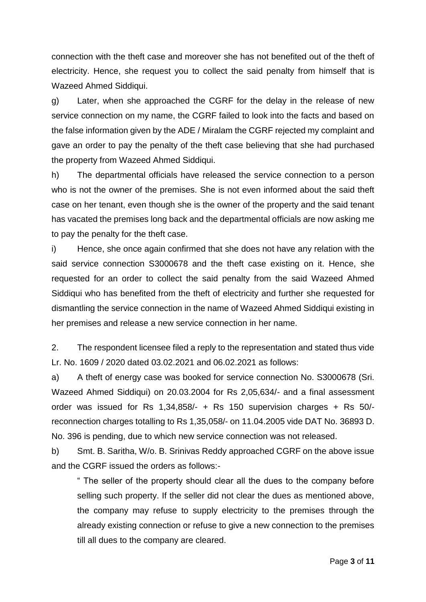connection with the theft case and moreover she has not benefited out of the theft of electricity. Hence, she request you to collect the said penalty from himself that is Wazeed Ahmed Siddiqui.

g) Later, when she approached the CGRF for the delay in the release of new service connection on my name, the CGRF failed to look into the facts and based on the false information given by the ADE / Miralam the CGRF rejected my complaint and gave an order to pay the penalty of the theft case believing that she had purchased the property from Wazeed Ahmed Siddiqui.

h) The departmental officials have released the service connection to a person who is not the owner of the premises. She is not even informed about the said theft case on her tenant, even though she is the owner of the property and the said tenant has vacated the premises long back and the departmental officials are now asking me to pay the penalty for the theft case.

i) Hence, she once again confirmed that she does not have any relation with the said service connection S3000678 and the theft case existing on it. Hence, she requested for an order to collect the said penalty from the said Wazeed Ahmed Siddiqui who has benefited from the theft of electricity and further she requested for dismantling the service connection in the name of Wazeed Ahmed Siddiqui existing in her premises and release a new service connection in her name.

2. The respondent licensee filed a reply to the representation and stated thus vide Lr. No. 1609 / 2020 dated 03.02.2021 and 06.02.2021 as follows:

a) A theft of energy case was booked for service connection No. S3000678 (Sri. Wazeed Ahmed Siddiqui) on 20.03.2004 for Rs 2,05,634/- and a final assessment order was issued for Rs 1,34,858/- + Rs 150 supervision charges + Rs 50/ reconnection charges totalling to Rs 1,35,058/- on 11.04.2005 vide DAT No. 36893 D. No. 396 is pending, due to which new service connection was not released.

b) Smt. B. Saritha, W/o. B. Srinivas Reddy approached CGRF on the above issue and the CGRF issued the orders as follows:-

" The seller of the property should clear all the dues to the company before selling such property. If the seller did not clear the dues as mentioned above, the company may refuse to supply electricity to the premises through the already existing connection or refuse to give a new connection to the premises till all dues to the company are cleared.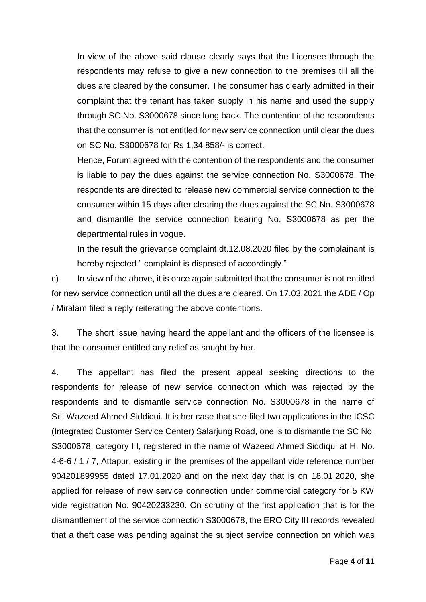In view of the above said clause clearly says that the Licensee through the respondents may refuse to give a new connection to the premises till all the dues are cleared by the consumer. The consumer has clearly admitted in their complaint that the tenant has taken supply in his name and used the supply through SC No. S3000678 since long back. The contention of the respondents that the consumer is not entitled for new service connection until clear the dues on SC No. S3000678 for Rs 1,34,858/- is correct.

Hence, Forum agreed with the contention of the respondents and the consumer is liable to pay the dues against the service connection No. S3000678. The respondents are directed to release new commercial service connection to the consumer within 15 days after clearing the dues against the SC No. S3000678 and dismantle the service connection bearing No. S3000678 as per the departmental rules in vogue.

In the result the grievance complaint dt.12.08.2020 filed by the complainant is hereby rejected." complaint is disposed of accordingly."

c) In view of the above, it is once again submitted that the consumer is not entitled for new service connection until all the dues are cleared. On 17.03.2021 the ADE / Op / Miralam filed a reply reiterating the above contentions.

3. The short issue having heard the appellant and the officers of the licensee is that the consumer entitled any relief as sought by her.

4. The appellant has filed the present appeal seeking directions to the respondents for release of new service connection which was rejected by the respondents and to dismantle service connection No. S3000678 in the name of Sri. Wazeed Ahmed Siddiqui. It is her case that she filed two applications in the ICSC (Integrated Customer Service Center) Salarjung Road, one is to dismantle the SC No. S3000678, category III, registered in the name of Wazeed Ahmed Siddiqui at H. No. 4-6-6 / 1 / 7, Attapur, existing in the premises of the appellant vide reference number 904201899955 dated 17.01.2020 and on the next day that is on 18.01.2020, she applied for release of new service connection under commercial category for 5 KW vide registration No. 90420233230. On scrutiny of the first application that is for the dismantlement of the service connection S3000678, the ERO City III records revealed that a theft case was pending against the subject service connection on which was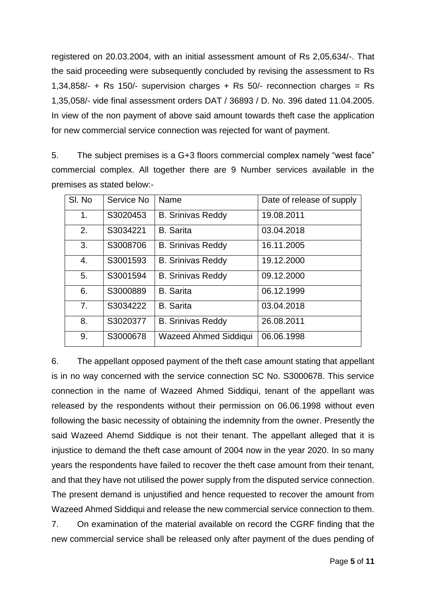registered on 20.03.2004, with an initial assessment amount of Rs 2,05,634/-. That the said proceeding were subsequently concluded by revising the assessment to Rs 1,34,858/- + Rs 150/- supervision charges + Rs 50/- reconnection charges = Rs 1,35,058/- vide final assessment orders DAT / 36893 / D. No. 396 dated 11.04.2005. In view of the non payment of above said amount towards theft case the application for new commercial service connection was rejected for want of payment.

5. The subject premises is a G+3 floors commercial complex namely "west face" commercial complex. All together there are 9 Number services available in the premises as stated below:-

| SI. No         | Service No | Name                         | Date of release of supply |
|----------------|------------|------------------------------|---------------------------|
| 1.             | S3020453   | <b>B. Srinivas Reddy</b>     | 19.08.2011                |
| 2.             | S3034221   | <b>B.</b> Sarita             | 03.04.2018                |
| 3.             | S3008706   | <b>B. Srinivas Reddy</b>     | 16.11.2005                |
| 4.             | S3001593   | <b>B. Srinivas Reddy</b>     | 19.12.2000                |
| 5.             | S3001594   | <b>B. Srinivas Reddy</b>     | 09.12.2000                |
| 6.             | S3000889   | <b>B.</b> Sarita             | 06.12.1999                |
| 7 <sub>1</sub> | S3034222   | <b>B.</b> Sarita             | 03.04.2018                |
| 8.             | S3020377   | <b>B. Srinivas Reddy</b>     | 26.08.2011                |
| 9.             | S3000678   | <b>Wazeed Ahmed Siddiqui</b> | 06.06.1998                |

6. The appellant opposed payment of the theft case amount stating that appellant is in no way concerned with the service connection SC No. S3000678. This service connection in the name of Wazeed Ahmed Siddiqui, tenant of the appellant was released by the respondents without their permission on 06.06.1998 without even following the basic necessity of obtaining the indemnity from the owner. Presently the said Wazeed Ahemd Siddique is not their tenant. The appellant alleged that it is injustice to demand the theft case amount of 2004 now in the year 2020. In so many years the respondents have failed to recover the theft case amount from their tenant, and that they have not utilised the power supply from the disputed service connection. The present demand is unjustified and hence requested to recover the amount from Wazeed Ahmed Siddiqui and release the new commercial service connection to them. 7. On examination of the material available on record the CGRF finding that the

new commercial service shall be released only after payment of the dues pending of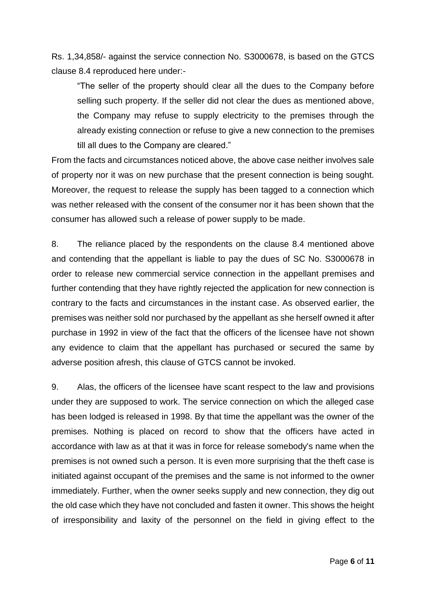Rs. 1,34,858/- against the service connection No. S3000678, is based on the GTCS clause 8.4 reproduced here under:-

"The seller of the property should clear all the dues to the Company before selling such property. If the seller did not clear the dues as mentioned above, the Company may refuse to supply electricity to the premises through the already existing connection or refuse to give a new connection to the premises till all dues to the Company are cleared."

From the facts and circumstances noticed above, the above case neither involves sale of property nor it was on new purchase that the present connection is being sought. Moreover, the request to release the supply has been tagged to a connection which was nether released with the consent of the consumer nor it has been shown that the consumer has allowed such a release of power supply to be made.

8. The reliance placed by the respondents on the clause 8.4 mentioned above and contending that the appellant is liable to pay the dues of SC No. S3000678 in order to release new commercial service connection in the appellant premises and further contending that they have rightly rejected the application for new connection is contrary to the facts and circumstances in the instant case. As observed earlier, the premises was neither sold nor purchased by the appellant as she herself owned it after purchase in 1992 in view of the fact that the officers of the licensee have not shown any evidence to claim that the appellant has purchased or secured the same by adverse position afresh, this clause of GTCS cannot be invoked.

9. Alas, the officers of the licensee have scant respect to the law and provisions under they are supposed to work. The service connection on which the alleged case has been lodged is released in 1998. By that time the appellant was the owner of the premises. Nothing is placed on record to show that the officers have acted in accordance with law as at that it was in force for release somebody's name when the premises is not owned such a person. It is even more surprising that the theft case is initiated against occupant of the premises and the same is not informed to the owner immediately. Further, when the owner seeks supply and new connection, they dig out the old case which they have not concluded and fasten it owner. This shows the height of irresponsibility and laxity of the personnel on the field in giving effect to the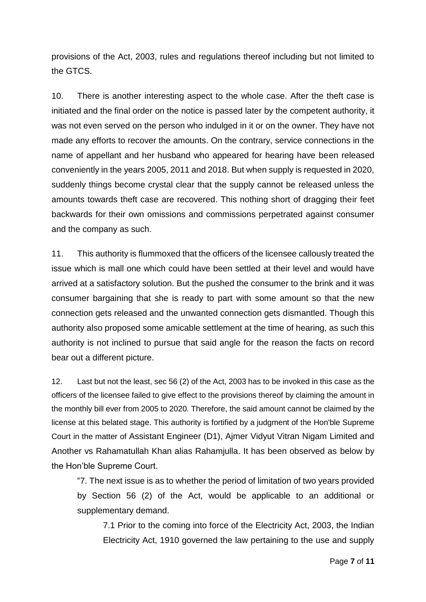provisions of the Act, 2003, rules and regulations thereof including but not limited to the GTCS.

10. There is another interesting aspect to the whole case. After the theft case is initiated and the final order on the notice is passed later by the competent authority, it was not even served on the person who indulged in it or on the owner. They have not made any efforts to recover the amounts. On the contrary, service connections in the name of appellant and her husband who appeared for hearing have been released conveniently in the years 2005, 2011 and 2018. But when supply is requested in 2020, suddenly things become crystal clear that the supply cannot be released unless the amounts towards theft case are recovered. This nothing short of dragging their feet backwards for their own omissions and commissions perpetrated against consumer and the company as such.

11. This authority is flummoxed that the officers of the licensee callously treated the issue which is mall one which could have been settled at their level and would have arrived at a satisfactory solution. But the pushed the consumer to the brink and it was consumer bargaining that she is ready to part with some amount so that the new connection gets released and the unwanted connection gets dismantled. Though this authority also proposed some amicable settlement at the time of hearing, as such this authority is not inclined to pursue that said angle for the reason the facts on record bear out a different picture.

12. Last but not the least, sec 56 (2) of the Act, 2003 has to be invoked in this case as the officers of the licensee failed to give effect to the provisions thereof by claiming the amount in the monthly bill ever from 2005 to 2020. Therefore, the said amount cannot be claimed by the license at this belated stage. This authority is fortified by a judgment of the Hon'ble Supreme Court in the matter of Assistant Engineer (D1), Ajmer Vidyut Vitran Nigam Limited and Another vs Rahamatullah Khan alias Rahamjulla. It has been observed as below by the Hon'ble Supreme Court.

"7. The next issue is as to whether the period of limitation of two years provided by Section 56 (2) of the Act, would be applicable to an additional or supplementary demand.

7.1 Prior to the coming into force of the Electricity Act, 2003, the Indian Electricity Act, 1910 governed the law pertaining to the use and supply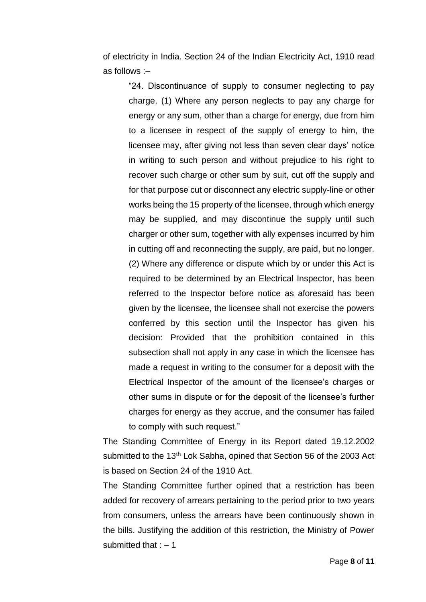of electricity in India. Section 24 of the Indian Electricity Act, 1910 read as follows :–

"24. Discontinuance of supply to consumer neglecting to pay charge. (1) Where any person neglects to pay any charge for energy or any sum, other than a charge for energy, due from him to a licensee in respect of the supply of energy to him, the licensee may, after giving not less than seven clear days' notice in writing to such person and without prejudice to his right to recover such charge or other sum by suit, cut off the supply and for that purpose cut or disconnect any electric supply-line or other works being the 15 property of the licensee, through which energy may be supplied, and may discontinue the supply until such charger or other sum, together with ally expenses incurred by him in cutting off and reconnecting the supply, are paid, but no longer. (2) Where any difference or dispute which by or under this Act is required to be determined by an Electrical Inspector, has been referred to the Inspector before notice as aforesaid has been given by the licensee, the licensee shall not exercise the powers conferred by this section until the Inspector has given his decision: Provided that the prohibition contained in this subsection shall not apply in any case in which the licensee has made a request in writing to the consumer for a deposit with the Electrical Inspector of the amount of the licensee's charges or other sums in dispute or for the deposit of the licensee's further charges for energy as they accrue, and the consumer has failed to comply with such request."

The Standing Committee of Energy in its Report dated 19.12.2002 submitted to the 13<sup>th</sup> Lok Sabha, opined that Section 56 of the 2003 Act is based on Section 24 of the 1910 Act.

The Standing Committee further opined that a restriction has been added for recovery of arrears pertaining to the period prior to two years from consumers, unless the arrears have been continuously shown in the bills. Justifying the addition of this restriction, the Ministry of Power submitted that  $: -1$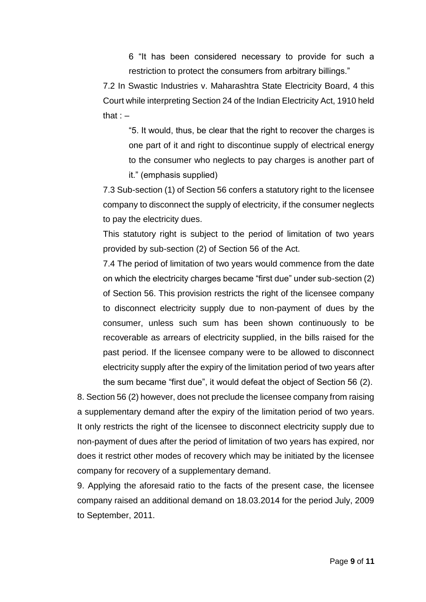6 "It has been considered necessary to provide for such a restriction to protect the consumers from arbitrary billings."

7.2 In Swastic Industries v. Maharashtra State Electricity Board, 4 this Court while interpreting Section 24 of the Indian Electricity Act, 1910 held that  $: -$ 

"5. It would, thus, be clear that the right to recover the charges is one part of it and right to discontinue supply of electrical energy to the consumer who neglects to pay charges is another part of it." (emphasis supplied)

7.3 Sub-section (1) of Section 56 confers a statutory right to the licensee company to disconnect the supply of electricity, if the consumer neglects to pay the electricity dues.

This statutory right is subject to the period of limitation of two years provided by sub-section (2) of Section 56 of the Act.

7.4 The period of limitation of two years would commence from the date on which the electricity charges became "first due" under sub-section (2) of Section 56. This provision restricts the right of the licensee company to disconnect electricity supply due to non-payment of dues by the consumer, unless such sum has been shown continuously to be recoverable as arrears of electricity supplied, in the bills raised for the past period. If the licensee company were to be allowed to disconnect electricity supply after the expiry of the limitation period of two years after the sum became "first due", it would defeat the object of Section 56 (2).

8. Section 56 (2) however, does not preclude the licensee company from raising a supplementary demand after the expiry of the limitation period of two years. It only restricts the right of the licensee to disconnect electricity supply due to non-payment of dues after the period of limitation of two years has expired, nor does it restrict other modes of recovery which may be initiated by the licensee company for recovery of a supplementary demand.

9. Applying the aforesaid ratio to the facts of the present case, the licensee company raised an additional demand on 18.03.2014 for the period July, 2009 to September, 2011.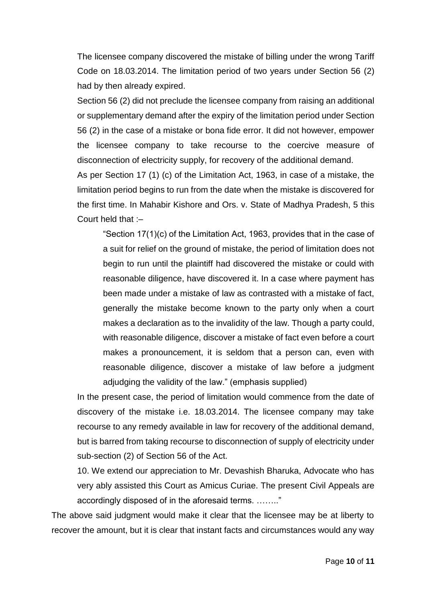The licensee company discovered the mistake of billing under the wrong Tariff Code on 18.03.2014. The limitation period of two years under Section 56 (2) had by then already expired.

Section 56 (2) did not preclude the licensee company from raising an additional or supplementary demand after the expiry of the limitation period under Section 56 (2) in the case of a mistake or bona fide error. It did not however, empower the licensee company to take recourse to the coercive measure of disconnection of electricity supply, for recovery of the additional demand.

As per Section 17 (1) (c) of the Limitation Act, 1963, in case of a mistake, the limitation period begins to run from the date when the mistake is discovered for the first time. In Mahabir Kishore and Ors. v. State of Madhya Pradesh, 5 this Court held that :–

"Section 17(1)(c) of the Limitation Act, 1963, provides that in the case of a suit for relief on the ground of mistake, the period of limitation does not begin to run until the plaintiff had discovered the mistake or could with reasonable diligence, have discovered it. In a case where payment has been made under a mistake of law as contrasted with a mistake of fact, generally the mistake become known to the party only when a court makes a declaration as to the invalidity of the law. Though a party could, with reasonable diligence, discover a mistake of fact even before a court makes a pronouncement, it is seldom that a person can, even with reasonable diligence, discover a mistake of law before a judgment adjudging the validity of the law." (emphasis supplied)

In the present case, the period of limitation would commence from the date of discovery of the mistake i.e. 18.03.2014. The licensee company may take recourse to any remedy available in law for recovery of the additional demand, but is barred from taking recourse to disconnection of supply of electricity under sub-section (2) of Section 56 of the Act.

10. We extend our appreciation to Mr. Devashish Bharuka, Advocate who has very ably assisted this Court as Amicus Curiae. The present Civil Appeals are accordingly disposed of in the aforesaid terms. …….."

The above said judgment would make it clear that the licensee may be at liberty to recover the amount, but it is clear that instant facts and circumstances would any way